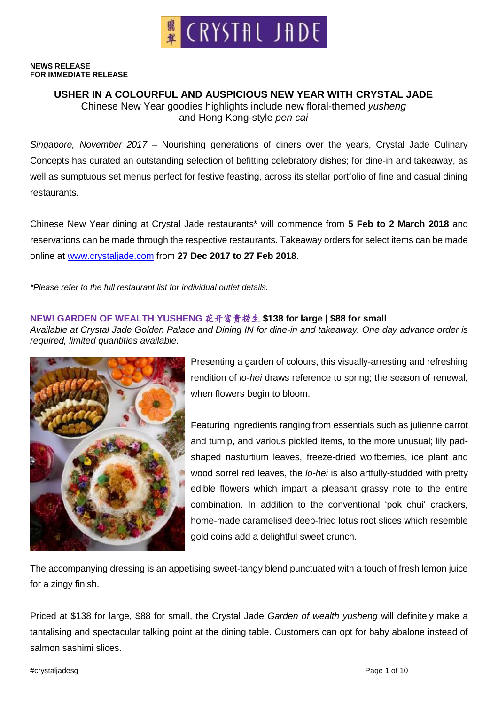

#### **NEWS RELEASE FOR IMMEDIATE RELEASE**

# **USHER IN A COLOURFUL AND AUSPICIOUS NEW YEAR WITH CRYSTAL JADE**

Chinese New Year goodies highlights include new floral-themed *yusheng* and Hong Kong-style *pen cai*

*Singapore, November 2017* – Nourishing generations of diners over the years, Crystal Jade Culinary Concepts has curated an outstanding selection of befitting celebratory dishes; for dine-in and takeaway, as well as sumptuous set menus perfect for festive feasting, across its stellar portfolio of fine and casual dining restaurants.

Chinese New Year dining at Crystal Jade restaurants\* will commence from **5 Feb to 2 March 2018** and reservations can be made through the respective restaurants. Takeaway orders for select items can be made online at [www.crystaljade.com](http://www.crystaljade.com/) from **27 Dec 2017 to 27 Feb 2018**.

*\*Please refer to the full restaurant list for individual outlet details.*

### **NEW! GARDEN OF WEALTH YUSHENG** 花开富贵捞生 **\$138 for large | \$88 for small**

*Available at Crystal Jade Golden Palace and Dining IN for dine-in and takeaway. One day advance order is required, limited quantities available.*



Presenting a garden of colours, this visually-arresting and refreshing rendition of *lo-hei* draws reference to spring; the season of renewal, when flowers begin to bloom.

Featuring ingredients ranging from essentials such as julienne carrot and turnip, and various pickled items, to the more unusual; lily padshaped nasturtium leaves, freeze-dried wolfberries, ice plant and wood sorrel red leaves, the *lo-hei* is also artfully-studded with pretty edible flowers which impart a pleasant grassy note to the entire combination. In addition to the conventional 'pok chui' crackers, home-made caramelised deep-fried lotus root slices which resemble gold coins add a delightful sweet crunch.

The accompanying dressing is an appetising sweet-tangy blend punctuated with a touch of fresh lemon juice for a zingy finish.

Priced at \$138 for large, \$88 for small, the Crystal Jade *Garden of wealth yusheng* will definitely make a tantalising and spectacular talking point at the dining table. Customers can opt for baby abalone instead of salmon sashimi slices.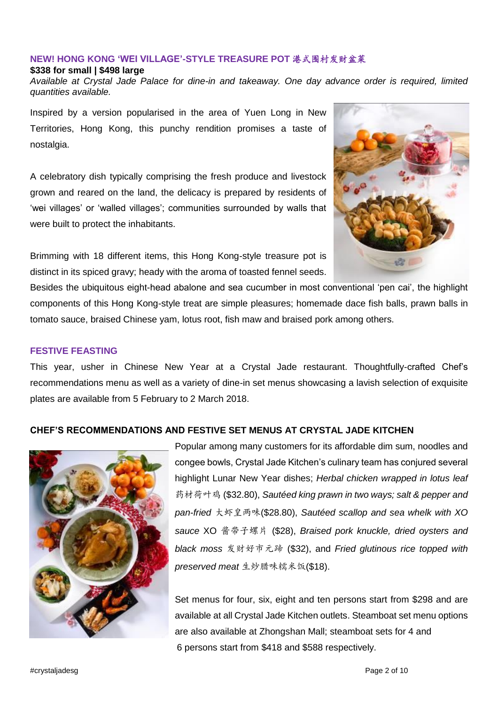# **NEW! HONG KONG 'WEI VILLAGE'-STYLE TREASURE POT** 港式围村发财盆菜

#### **\$338 for small | \$498 large**

*Available at Crystal Jade Palace for dine-in and takeaway. One day advance order is required, limited quantities available.*

Inspired by a version popularised in the area of Yuen Long in New Territories, Hong Kong, this punchy rendition promises a taste of nostalgia.

A celebratory dish typically comprising the fresh produce and livestock grown and reared on the land, the delicacy is prepared by residents of 'wei villages' or 'walled villages'; communities surrounded by walls that were built to protect the inhabitants.



Brimming with 18 different items, this Hong Kong-style treasure pot is distinct in its spiced gravy; heady with the aroma of toasted fennel seeds.

Besides the ubiquitous eight-head abalone and sea cucumber in most conventional 'pen cai', the highlight components of this Hong Kong-style treat are simple pleasures; homemade dace fish balls, prawn balls in tomato sauce, braised Chinese yam, lotus root, fish maw and braised pork among others.

### **FESTIVE FEASTING**

This year, usher in Chinese New Year at a Crystal Jade restaurant. Thoughtfully-crafted Chef's recommendations menu as well as a variety of dine-in set menus showcasing a lavish selection of exquisite plates are available from 5 February to 2 March 2018.

# **CHEF'S RECOMMENDATIONS AND FESTIVE SET MENUS AT CRYSTAL JADE KITCHEN**



Popular among many customers for its affordable dim sum, noodles and congee bowls, Crystal Jade Kitchen's culinary team has conjured several highlight Lunar New Year dishes; *Herbal chicken wrapped in lotus leaf* 药材荷叶鸡 (\$32.80), *Sautéed king prawn in two ways; salt & pepper and pan-fried* 大虾皇两味(\$28.80), *Sautéed scallop and sea whelk with XO sauce* XO 酱带子螺片 (\$28), *Braised pork knuckle, dried oysters and black moss* 发财好市元蹄 (\$32), and *Fried glutinous rice topped with preserved meat* 生炒腊味糯米饭(\$18).

Set menus for four, six, eight and ten persons start from \$298 and are available at all Crystal Jade Kitchen outlets. Steamboat set menu options are also available at Zhongshan Mall; steamboat sets for 4 and 6 persons start from \$418 and \$588 respectively.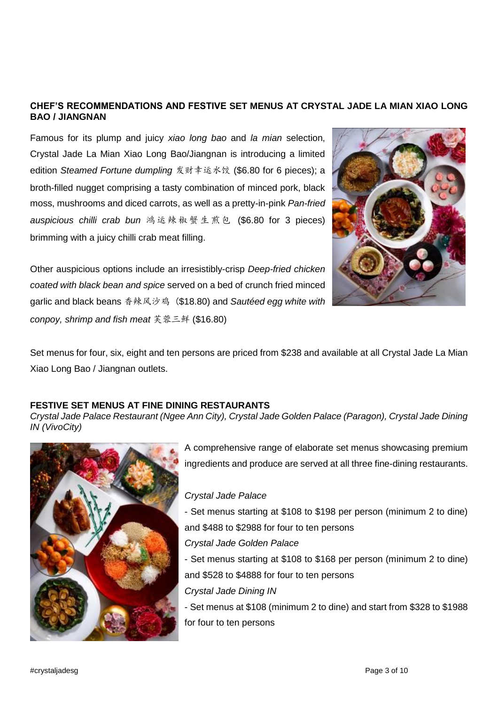## **CHEF'S RECOMMENDATIONS AND FESTIVE SET MENUS AT CRYSTAL JADE LA MIAN XIAO LONG BAO / JIANGNAN**

Famous for its plump and juicy *xiao long bao* and *la mian* selection, Crystal Jade La Mian Xiao Long Bao/Jiangnan is introducing a limited edition *Steamed Fortune dumpling* 发财幸运水饺 (\$6.80 for 6 pieces); a broth-filled nugget comprising a tasty combination of minced pork, black moss, mushrooms and diced carrots, as well as a pretty-in-pink *Pan-fried auspicious chilli crab bun* 鸿 运辣 椒蟹 生煎 包 (\$6.80 for 3 pieces) brimming with a juicy chilli crab meat filling.



Other auspicious options include an irresistibly-crisp *Deep-fried chicken coated with black bean and spice* served on a bed of crunch fried minced garlic and black beans 香辣风沙鸡 (\$18.80) and *Sautéed egg white with conpoy, shrimp and fish meat* 芙蓉三鲜 (\$16.80)

Set menus for four, six, eight and ten persons are priced from \$238 and available at all Crystal Jade La Mian Xiao Long Bao / Jiangnan outlets.

#### **FESTIVE SET MENUS AT FINE DINING RESTAURANTS**

*Crystal Jade Palace Restaurant (Ngee Ann City), Crystal Jade Golden Palace (Paragon), Crystal Jade Dining IN (VivoCity)* 



A comprehensive range of elaborate set menus showcasing premium ingredients and produce are served at all three fine-dining restaurants.

### *Crystal Jade Palace*

- Set menus starting at \$108 to \$198 per person (minimum 2 to dine) and \$488 to \$2988 for four to ten persons

*Crystal Jade Golden Palace*

- Set menus starting at \$108 to \$168 per person (minimum 2 to dine) and \$528 to \$4888 for four to ten persons

*Crystal Jade Dining IN* 

- Set menus at \$108 (minimum 2 to dine) and start from \$328 to \$1988 for four to ten persons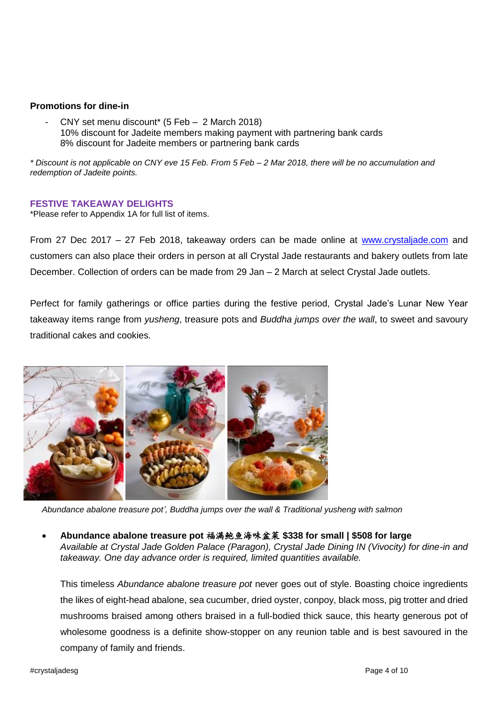#### **Promotions for dine-in**

- CNY set menu discount\* (5 Feb – 2 March 2018) 10% discount for Jadeite members making payment with partnering bank cards 8% discount for Jadeite members or partnering bank cards

*\* Discount is not applicable on CNY eve 15 Feb. From 5 Feb – 2 Mar 2018, there will be no accumulation and redemption of Jadeite points.*

#### **FESTIVE TAKEAWAY DELIGHTS**

\*Please refer to Appendix 1A for full list of items.

From 27 Dec 2017 – 27 Feb 2018, takeaway orders can be made online at [www.crystaljade.com](http://www.crystaljade.com/) and customers can also place their orders in person at all Crystal Jade restaurants and bakery outlets from late December. Collection of orders can be made from 29 Jan – 2 March at select Crystal Jade outlets.

Perfect for family gatherings or office parties during the festive period, Crystal Jade's Lunar New Year takeaway items range from *yusheng*, treasure pots and *Buddha jumps over the wall*, to sweet and savoury traditional cakes and cookies.



*Abundance abalone treasure pot', Buddha jumps over the wall & Traditional yusheng with salmon*

### **Abundance abalone treasure pot** 福满鲍鱼海味盆菜 **\$338 for small | \$508 for large**

*Available at Crystal Jade Golden Palace (Paragon), Crystal Jade Dining IN (Vivocity) for dine-in and takeaway. One day advance order is required, limited quantities available.*

This timeless *Abundance abalone treasure pot* never goes out of style. Boasting choice ingredients the likes of eight-head abalone, sea cucumber, dried oyster, conpoy, black moss, pig trotter and dried mushrooms braised among others braised in a full-bodied thick sauce, this hearty generous pot of wholesome goodness is a definite show-stopper on any reunion table and is best savoured in the company of family and friends.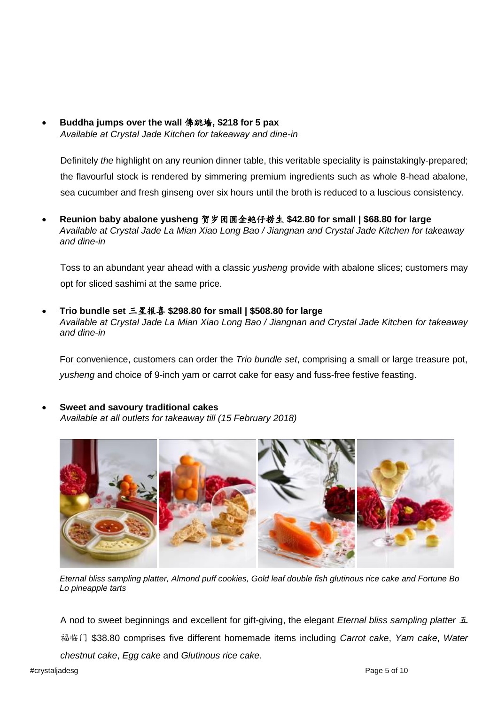**Buddha jumps over the wall** 佛跳墙**, \$218 for 5 pax**  *Available at Crystal Jade Kitchen for takeaway and dine-in*

Definitely *the* highlight on any reunion dinner table, this veritable speciality is painstakingly-prepared; the flavourful stock is rendered by simmering premium ingredients such as whole 8-head abalone, sea cucumber and fresh ginseng over six hours until the broth is reduced to a luscious consistency.

 **Reunion baby abalone yusheng** 贺岁团圆金鲍仔捞生 **\$42.80 for small | \$68.80 for large** *Available at Crystal Jade La Mian Xiao Long Bao / Jiangnan and Crystal Jade Kitchen for takeaway and dine-in*

Toss to an abundant year ahead with a classic *yusheng* provide with abalone slices; customers may opt for sliced sashimi at the same price.

 **Trio bundle set** 三星报喜 **\$298.80 for small | \$508.80 for large** *Available at Crystal Jade La Mian Xiao Long Bao / Jiangnan and Crystal Jade Kitchen for takeaway and dine-in*

For convenience, customers can order the *Trio bundle set*, comprising a small or large treasure pot, *yusheng* and choice of 9-inch yam or carrot cake for easy and fuss-free festive feasting.

 **Sweet and savoury traditional cakes** *Available at all outlets for takeaway till (15 February 2018)*



*Eternal bliss sampling platter, Almond puff cookies, Gold leaf double fish glutinous rice cake and Fortune Bo Lo pineapple tarts*

A nod to sweet beginnings and excellent for gift-giving, the elegant *Eternal bliss sampling platter* 五 福临门 \$38.80 comprises five different homemade items including *Carrot cake*, *Yam cake*, *Water chestnut cake*, *Egg cake* and *Glutinous rice cake*.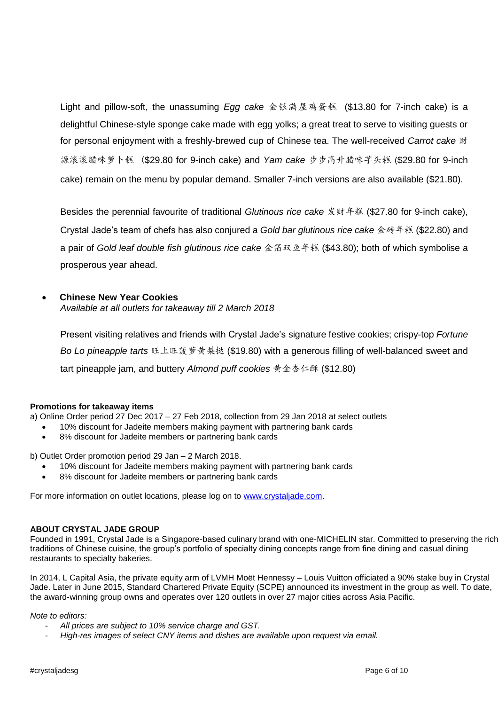Light and pillow-soft, the unassuming *Egg cake* 金银满屋鸡蛋糕 (\$13.80 for 7-inch cake) is a delightful Chinese-style sponge cake made with egg yolks; a great treat to serve to visiting guests or for personal enjoyment with a freshly-brewed cup of Chinese tea. The well-received *Carrot cake* 财 源滚滚腊味萝卜糕 (\$29.80 for 9-inch cake) and *Yam cake* 步步高升腊味芋头糕 (\$29.80 for 9-inch cake) remain on the menu by popular demand. Smaller 7-inch versions are also available (\$21.80).

Besides the perennial favourite of traditional *Glutinous rice cake* 发财年糕 (\$27.80 for 9-inch cake), Crystal Jade's team of chefs has also conjured a *Gold bar glutinous rice cake* 金砖年糕 (\$22.80) and a pair of *Gold leaf double fish glutinous rice cake* 金箔双鱼年糕 (\$43.80); both of which symbolise a prosperous year ahead.

### **Chinese New Year Cookies**

*Available at all outlets for takeaway till 2 March 2018*

Present visiting relatives and friends with Crystal Jade's signature festive cookies; crispy-top *Fortune Bo Lo pineapple tarts* 旺上旺菠萝黄梨挞 (\$19.80) with a generous filling of well-balanced sweet and tart pineapple jam, and buttery *Almond puff cookies* 黄金杏仁酥 (\$12.80)

#### **Promotions for takeaway items**

a) Online Order period 27 Dec 2017 – 27 Feb 2018, collection from 29 Jan 2018 at select outlets

- 10% discount for Jadeite members making payment with partnering bank cards
- 8% discount for Jadeite members **or** partnering bank cards

b) Outlet Order promotion period 29 Jan – 2 March 2018.

- 10% discount for Jadeite members making payment with partnering bank cards
- 8% discount for Jadeite members **or** partnering bank cards

For more information on outlet locations, please log on to [www.crystaljade.com.](http://www.crystaljade.com/)

#### **ABOUT CRYSTAL JADE GROUP**

Founded in 1991, Crystal Jade is a Singapore-based culinary brand with one-MICHELIN star. Committed to preserving the rich traditions of Chinese cuisine, the group's portfolio of specialty dining concepts range from fine dining and casual dining restaurants to specialty bakeries.

In 2014, L Capital Asia, the private equity arm of LVMH Moët Hennessy – Louis Vuitton officiated a 90% stake buy in Crystal Jade. Later in June 2015, Standard Chartered Private Equity (SCPE) announced its investment in the group as well. To date, the award-winning group owns and operates over 120 outlets in over 27 major cities across Asia Pacific.

#### *Note to editors:*

- *All prices are subject to 10% service charge and GST.*
- *High-res images of select CNY items and dishes are available upon request via email.*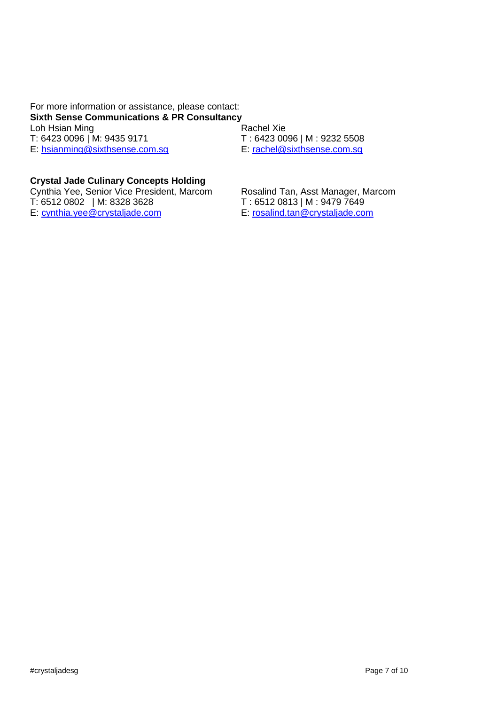For more information or assistance, please contact: **Sixth Sense Communications & PR Consultancy** Loh Hsian Ming<br>
T: 6423 0096 | M: 9435 9171<br>
T: 6423 00

E: [hsianming@sixthsense.com.sg](mailto:hsianming@sixthsense.com.sg)

T: 6423 0096 | M : 9232 5508<br>E: rachel@sixthsense.com.sg

## **Crystal Jade Culinary Concepts Holding**

Cynthia Yee, Senior Vice President, Marcom Rosalind Tan, Asst Manager, Marcom T: 6512 0813 | M : 9479 7649 T: 6512 0802 | M: 8328 3628<br>E: cynthia.yee@crystaliade.com

E: rosalind.tan@crystaljade.com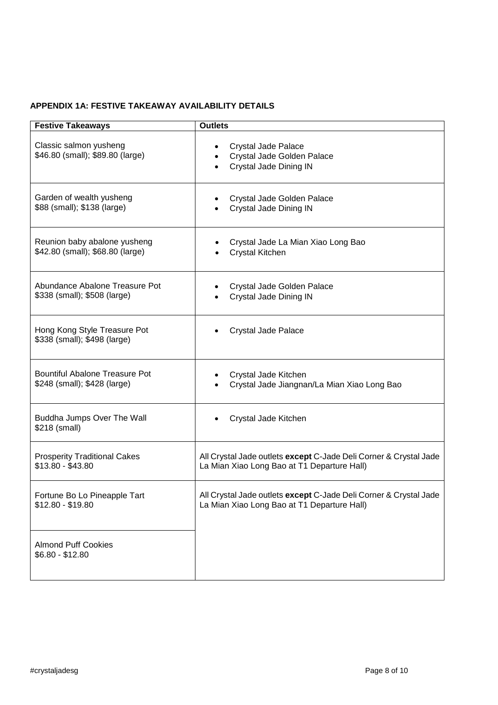# **APPENDIX 1A: FESTIVE TAKEAWAY AVAILABILITY DETAILS**

| <b>Festive Takeaways</b>                                     | <b>Outlets</b>                                                              |
|--------------------------------------------------------------|-----------------------------------------------------------------------------|
| Classic salmon yusheng<br>\$46.80 (small); \$89.80 (large)   | Crystal Jade Palace<br>Crystal Jade Golden Palace<br>Crystal Jade Dining IN |
| Garden of wealth yusheng                                     | Crystal Jade Golden Palace                                                  |
| \$88 (small); \$138 (large)                                  | Crystal Jade Dining IN                                                      |
| Reunion baby abalone yusheng                                 | Crystal Jade La Mian Xiao Long Bao                                          |
| \$42.80 (small); \$68.80 (large)                             | <b>Crystal Kitchen</b>                                                      |
| Abundance Abalone Treasure Pot                               | Crystal Jade Golden Palace                                                  |
| \$338 (small); \$508 (large)                                 | Crystal Jade Dining IN                                                      |
| Hong Kong Style Treasure Pot<br>\$338 (small); \$498 (large) | Crystal Jade Palace                                                         |
| <b>Bountiful Abalone Treasure Pot</b>                        | Crystal Jade Kitchen                                                        |
| \$248 (small); \$428 (large)                                 | Crystal Jade Jiangnan/La Mian Xiao Long Bao                                 |
| Buddha Jumps Over The Wall<br>\$218 (small)                  | Crystal Jade Kitchen                                                        |
| <b>Prosperity Traditional Cakes</b>                          | All Crystal Jade outlets except C-Jade Deli Corner & Crystal Jade           |
| $$13.80 - $43.80$                                            | La Mian Xiao Long Bao at T1 Departure Hall)                                 |
| Fortune Bo Lo Pineapple Tart                                 | All Crystal Jade outlets except C-Jade Deli Corner & Crystal Jade           |
| $$12.80 - $19.80$                                            | La Mian Xiao Long Bao at T1 Departure Hall)                                 |
| <b>Almond Puff Cookies</b><br>$$6.80 - $12.80$               |                                                                             |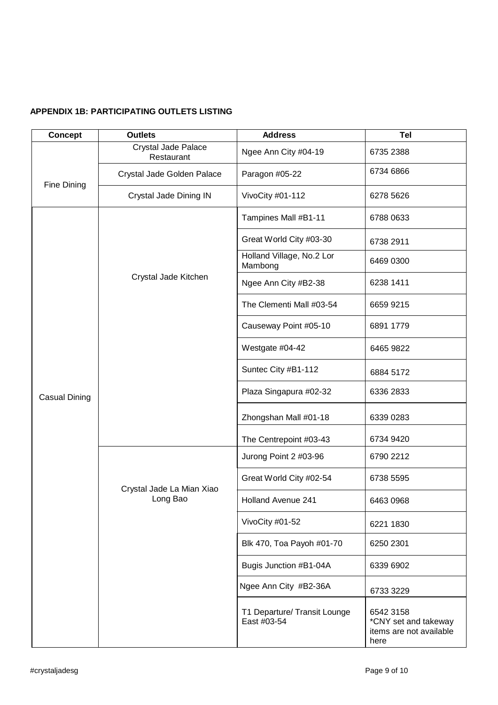### **APPENDIX 1B: PARTICIPATING OUTLETS LISTING**

| <b>Concept</b>       | <b>Outlets</b>                        | <b>Address</b>                              | <b>Tel</b>                                                           |
|----------------------|---------------------------------------|---------------------------------------------|----------------------------------------------------------------------|
| Fine Dining          | Crystal Jade Palace<br>Restaurant     | Ngee Ann City #04-19                        | 6735 2388                                                            |
|                      | Crystal Jade Golden Palace            | Paragon #05-22                              | 6734 6866                                                            |
|                      | Crystal Jade Dining IN                | VivoCity #01-112                            | 6278 5626                                                            |
| <b>Casual Dining</b> | Crystal Jade Kitchen                  | Tampines Mall #B1-11                        | 6788 0633                                                            |
|                      |                                       | Great World City #03-30                     | 6738 2911                                                            |
|                      |                                       | Holland Village, No.2 Lor<br>Mambong        | 6469 0300                                                            |
|                      |                                       | Ngee Ann City #B2-38                        | 6238 1411                                                            |
|                      |                                       | The Clementi Mall #03-54                    | 6659 9215                                                            |
|                      |                                       | Causeway Point #05-10                       | 6891 1779                                                            |
|                      |                                       | Westgate #04-42                             | 6465 9822                                                            |
|                      |                                       | Suntec City #B1-112                         | 6884 5172                                                            |
|                      |                                       | Plaza Singapura #02-32                      | 6336 2833                                                            |
|                      |                                       | Zhongshan Mall #01-18                       | 6339 0283                                                            |
|                      |                                       | The Centrepoint #03-43                      | 6734 9420                                                            |
|                      |                                       | Jurong Point 2 #03-96                       | 6790 2212                                                            |
|                      | Crystal Jade La Mian Xiao<br>Long Bao | Great World City #02-54                     | 6738 5595                                                            |
|                      |                                       | Holland Avenue 241                          | 6463 0968                                                            |
|                      |                                       | VivoCity #01-52                             | 6221 1830                                                            |
|                      |                                       | Blk 470, Toa Payoh #01-70                   | 6250 2301                                                            |
|                      |                                       | Bugis Junction #B1-04A                      | 6339 6902                                                            |
|                      |                                       | Ngee Ann City #B2-36A                       | 6733 3229                                                            |
|                      |                                       | T1 Departure/ Transit Lounge<br>East #03-54 | 6542 3158<br>*CNY set and takeway<br>items are not available<br>here |